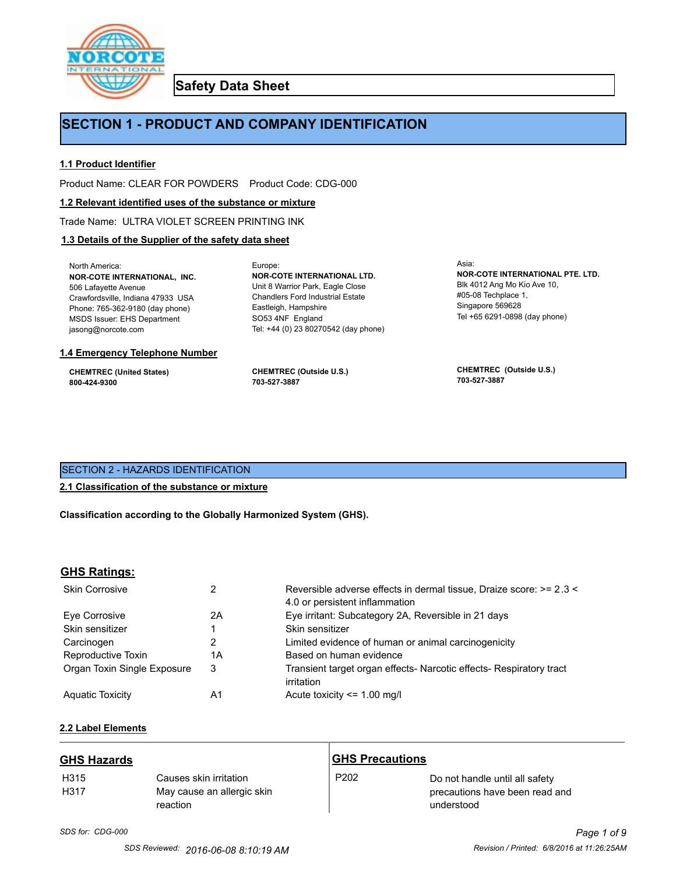

**Safety Data Sheet**

# **SECTION 1 - PRODUCT AND COMPANY IDENTIFICATION**

Europe:

### **1.1 Product Identifier**

Product Name: CLEAR FOR POWDERS Product Code: CDG-000

#### **1.2 Relevant identified uses of the substance or mixture**

Trade Name: ULTRA VIOLET SCREEN PRINTING INK

### **1.3 Details of the Supplier of the safety data sheet**

North America: **NOR-COTE INTERNATIONAL, INC.** 506 Lafayette Avenue Crawfordsville, Indiana 47933 USA Phone: 765-362-9180 (day phone) MSDS Issuer: EHS Department jasong@norcote.com

#### **1.4 Emergency Telephone Number**

**CHEMTREC (United States) 800-424-9300**

**CHEMTREC (Outside U.S.) 703-527-3887**

Eastleigh, Hampshire SO53 4NF England

**NOR-COTE INTERNATIONAL LTD.** Unit 8 Warrior Park, Eagle Close Chandlers Ford Industrial Estate

Tel: +44 (0) 23 80270542 (day phone)

Asia: **NOR-COTE INTERNATIONAL PTE. LTD.** Blk 4012 Ang Mo Kio Ave 10, #05-08 Techplace 1, Singapore 569628 Tel +65 6291-0898 (day phone)

**CHEMTREC (Outside U.S.) 703-527-3887**

### SECTION 2 - HAZARDS IDENTIFICATION

### **2.1 Classification of the substance or mixture**

**Classification according to the Globally Harmonized System (GHS).**

#### **GHS Ratings:**

| <b>Skin Corrosive</b>       |    | Reversible adverse effects in dermal tissue, Draize score: >= 2.3 <<br>4.0 or persistent inflammation |  |
|-----------------------------|----|-------------------------------------------------------------------------------------------------------|--|
| Eve Corrosive               | 2Α | Eye irritant: Subcategory 2A, Reversible in 21 days                                                   |  |
| Skin sensitizer             |    | Skin sensitizer                                                                                       |  |
| Carcinogen                  | 2  | Limited evidence of human or animal carcinogenicity                                                   |  |
| Reproductive Toxin          | 1Α | Based on human evidence                                                                               |  |
| Organ Toxin Single Exposure | 3  | Transient target organ effects- Narcotic effects- Respiratory tract<br>irritation                     |  |
| <b>Aguatic Toxicity</b>     | A1 | Acute toxicity <= 1.00 mg/l                                                                           |  |

# **2.2 Label Elements**

| <b>GHS Hazards</b>       |                                                                  | <b>GHS Precautions</b> |                                                                                |
|--------------------------|------------------------------------------------------------------|------------------------|--------------------------------------------------------------------------------|
| H <sub>315</sub><br>H317 | Causes skin irritation<br>May cause an allergic skin<br>reaction | P <sub>202</sub>       | Do not handle until all safety<br>precautions have been read and<br>understood |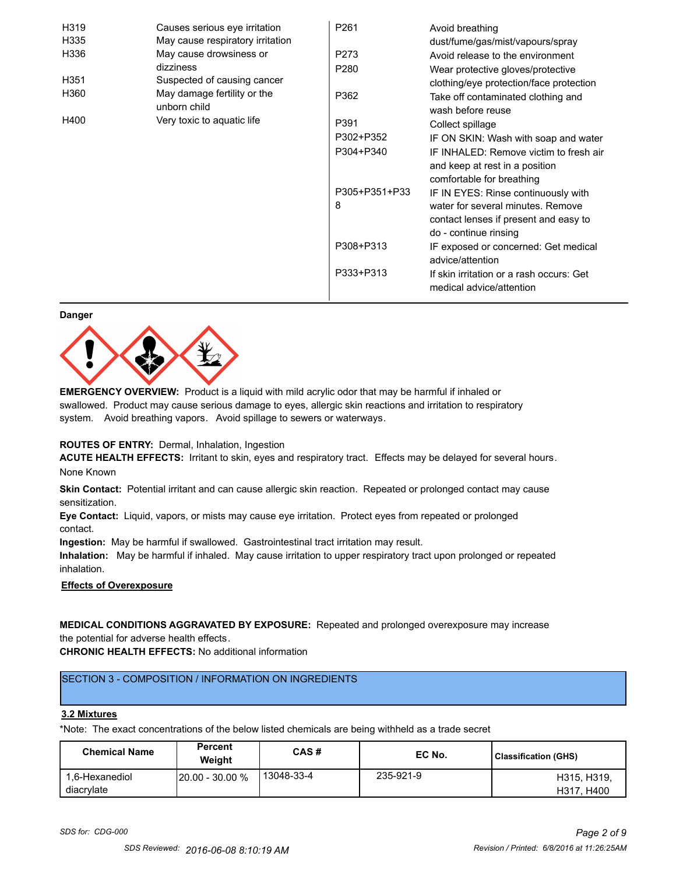| H319             | Causes serious eye irritation               | P261             | Avoid breathing                                                                                       |
|------------------|---------------------------------------------|------------------|-------------------------------------------------------------------------------------------------------|
| H335             | May cause respiratory irritation            |                  | dust/fume/gas/mist/vapours/spray                                                                      |
| H336             | May cause drowsiness or                     | P273             | Avoid release to the environment                                                                      |
|                  | dizziness                                   | P <sub>280</sub> | Wear protective gloves/protective                                                                     |
| H <sub>351</sub> | Suspected of causing cancer                 |                  | clothing/eye protection/face protection                                                               |
| H360             | May damage fertility or the<br>unborn child | P362             | Take off contaminated clothing and<br>wash before reuse                                               |
| H400             | Very toxic to aquatic life                  | P391             | Collect spillage                                                                                      |
|                  |                                             | P302+P352        | IF ON SKIN: Wash with soap and water                                                                  |
|                  |                                             | P304+P340        | IF INHALED: Remove victim to fresh air<br>and keep at rest in a position<br>comfortable for breathing |
|                  |                                             | P305+P351+P33    | IF IN EYES: Rinse continuously with                                                                   |
|                  |                                             | 8                | water for several minutes. Remove<br>contact lenses if present and easy to<br>do - continue rinsing   |
|                  |                                             | P308+P313        | IF exposed or concerned: Get medical<br>advice/attention                                              |
|                  |                                             | P333+P313        | If skin irritation or a rash occurs: Get<br>medical advice/attention                                  |

#### **Danger**



**EMERGENCY OVERVIEW:** Product is a liquid with mild acrylic odor that may be harmful if inhaled or swallowed. Product may cause serious damage to eyes, allergic skin reactions and irritation to respiratory system. Avoid breathing vapors. Avoid spillage to sewers or waterways.

#### **ROUTES OF ENTRY:** Dermal, Inhalation, Ingestion

**ACUTE HEALTH EFFECTS:** Irritant to skin, eyes and respiratory tract. Effects may be delayed for several hours. None Known

**Skin Contact:** Potential irritant and can cause allergic skin reaction. Repeated or prolonged contact may cause sensitization.

**Eye Contact:** Liquid, vapors, or mists may cause eye irritation. Protect eyes from repeated or prolonged contact.

**Ingestion:** May be harmful if swallowed. Gastrointestinal tract irritation may result.

**Inhalation:** May be harmful if inhaled. May cause irritation to upper respiratory tract upon prolonged or repeated inhalation.

#### **Effects of Overexposure**

**MEDICAL CONDITIONS AGGRAVATED BY EXPOSURE:** Repeated and prolonged overexposure may increase the potential for adverse health effects.

**CHRONIC HEALTH EFFECTS:** No additional information

# SECTION 3 - COMPOSITION / INFORMATION ON INGREDIENTS

#### **3.2 Mixtures**

\*Note: The exact concentrations of the below listed chemicals are being withheld as a trade secret

| <b>Chemical Name</b>         | Percent<br>Weight      | CAS#       | EC No.    | <b>Classification (GHS)</b> |
|------------------------------|------------------------|------------|-----------|-----------------------------|
| 1.6-Hexanediol<br>diacrylate | <b>20.00 - 30.00 %</b> | 13048-33-4 | 235-921-9 | H315, H319,<br>H317, H400   |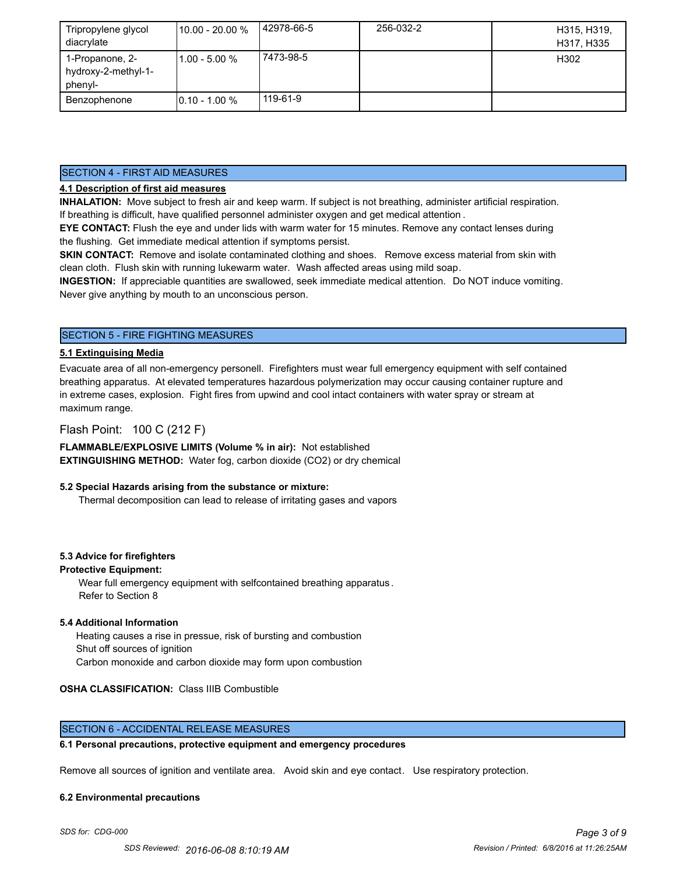| Tripropylene glycol<br>diacrylate                 | 110.00 - 20.00 % | 142978-66-5 | 256-032-2 | H315, H319,<br>H317, H335 |
|---------------------------------------------------|------------------|-------------|-----------|---------------------------|
| 1-Propanone, 2-<br>hydroxy-2-methyl-1-<br>phenyl- | l1.00 - 5.00 %   | 7473-98-5   |           | H302                      |
| Benzophenone                                      | $10.10 - 1.00 %$ | 119-61-9    |           |                           |

### SECTION 4 - FIRST AID MEASURES

### **4.1 Description of first aid measures**

**INHALATION:** Move subject to fresh air and keep warm. If subject is not breathing, administer artificial respiration. If breathing is difficult, have qualified personnel administer oxygen and get medical attention .

**EYE CONTACT:** Flush the eye and under lids with warm water for 15 minutes. Remove any contact lenses during the flushing. Get immediate medical attention if symptoms persist.

**SKIN CONTACT:** Remove and isolate contaminated clothing and shoes. Remove excess material from skin with clean cloth. Flush skin with running lukewarm water. Wash affected areas using mild soap.

**INGESTION:** If appreciable quantities are swallowed, seek immediate medical attention. Do NOT induce vomiting. Never give anything by mouth to an unconscious person.

### SECTION 5 - FIRE FIGHTING MEASURES

### **5.1 Extinguising Media**

Evacuate area of all non-emergency personell. Firefighters must wear full emergency equipment with self contained breathing apparatus. At elevated temperatures hazardous polymerization may occur causing container rupture and in extreme cases, explosion. Fight fires from upwind and cool intact containers with water spray or stream at maximum range.

### Flash Point: 100 C (212 F)

**FLAMMABLE/EXPLOSIVE LIMITS (Volume % in air):** Not established **EXTINGUISHING METHOD:** Water fog, carbon dioxide (CO2) or dry chemical

#### **5.2 Special Hazards arising from the substance or mixture:**

Thermal decomposition can lead to release of irritating gases and vapors

#### **5.3 Advice for firefighters**

#### **Protective Equipment:**

Wear full emergency equipment with selfcontained breathing apparatus . Refer to Section 8

### **5.4 Additional Information**

 Heating causes a rise in pressue, risk of bursting and combustion Shut off sources of ignition Carbon monoxide and carbon dioxide may form upon combustion

#### **OSHA CLASSIFICATION:** Class IIIB Combustible

### SECTION 6 - ACCIDENTAL RELEASE MEASURES

### **6.1 Personal precautions, protective equipment and emergency procedures**

Remove all sources of ignition and ventilate area. Avoid skin and eye contact. Use respiratory protection.

#### **6.2 Environmental precautions**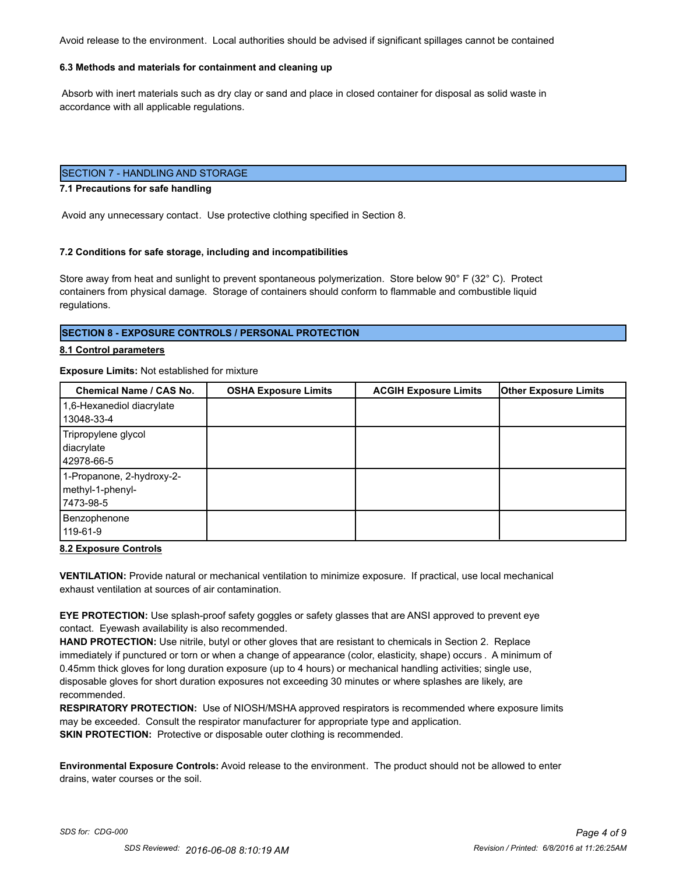Avoid release to the environment. Local authorities should be advised if significant spillages cannot be contained

### **6.3 Methods and materials for containment and cleaning up**

 Absorb with inert materials such as dry clay or sand and place in closed container for disposal as solid waste in accordance with all applicable regulations.

### SECTION 7 - HANDLING AND STORAGE

#### **7.1 Precautions for safe handling**

Avoid any unnecessary contact. Use protective clothing specified in Section 8.

#### **7.2 Conditions for safe storage, including and incompatibilities**

Store away from heat and sunlight to prevent spontaneous polymerization. Store below 90° F (32° C). Protect containers from physical damage. Storage of containers should conform to flammable and combustible liquid regulations.

#### **SECTION 8 - EXPOSURE CONTROLS / PERSONAL PROTECTION**

#### **8.1 Control parameters**

#### **Exposure Limits:** Not established for mixture

| <b>Chemical Name / CAS No.</b>                              | <b>OSHA Exposure Limits</b> | <b>ACGIH Exposure Limits</b> | <b>Other Exposure Limits</b> |
|-------------------------------------------------------------|-----------------------------|------------------------------|------------------------------|
| 1,6-Hexanediol diacrylate<br>13048-33-4                     |                             |                              |                              |
| Tripropylene glycol<br>diacrylate<br>42978-66-5             |                             |                              |                              |
| 1-Propanone, 2-hydroxy-2-<br>methyl-1-phenyl-<br>17473-98-5 |                             |                              |                              |
| Benzophenone<br>119-61-9                                    |                             |                              |                              |

#### **8.2 Exposure Controls**

**VENTILATION:** Provide natural or mechanical ventilation to minimize exposure. If practical, use local mechanical exhaust ventilation at sources of air contamination.

**EYE PROTECTION:** Use splash-proof safety goggles or safety glasses that are ANSI approved to prevent eye contact. Eyewash availability is also recommended.

**HAND PROTECTION:** Use nitrile, butyl or other gloves that are resistant to chemicals in Section 2. Replace immediately if punctured or torn or when a change of appearance (color, elasticity, shape) occurs . A minimum of 0.45mm thick gloves for long duration exposure (up to 4 hours) or mechanical handling activities; single use, disposable gloves for short duration exposures not exceeding 30 minutes or where splashes are likely, are recommended.

**RESPIRATORY PROTECTION:** Use of NIOSH/MSHA approved respirators is recommended where exposure limits may be exceeded. Consult the respirator manufacturer for appropriate type and application. **SKIN PROTECTION:** Protective or disposable outer clothing is recommended.

**Environmental Exposure Controls:** Avoid release to the environment. The product should not be allowed to enter drains, water courses or the soil.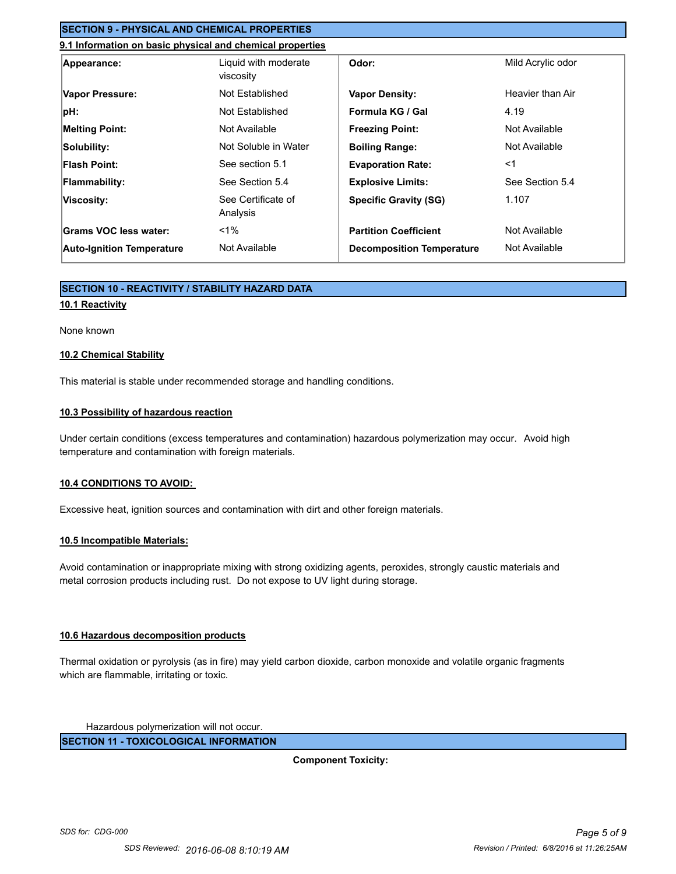## **SECTION 9 - PHYSICAL AND CHEMICAL PROPERTIES**

### **9.1 Information on basic physical and chemical properties**

| Appearance:                      | Liquid with moderate<br>viscosity | Odor:                            | Mild Acrylic odor |
|----------------------------------|-----------------------------------|----------------------------------|-------------------|
| Vapor Pressure:                  | Not Established                   | <b>Vapor Density:</b>            | Heavier than Air  |
| pH:                              | Not Established                   | Formula KG / Gal                 | 4.19              |
| <b>Melting Point:</b>            | Not Available                     | <b>Freezing Point:</b>           | Not Available     |
| Solubility:                      | Not Soluble in Water              | <b>Boiling Range:</b>            | Not Available     |
| <b>Flash Point:</b>              | See section 5.1                   | <b>Evaporation Rate:</b>         | $<$ 1             |
| <b>Flammability:</b>             | See Section 5.4                   | <b>Explosive Limits:</b>         | See Section 5.4   |
| Viscosity:                       | See Certificate of<br>Analysis    | <b>Specific Gravity (SG)</b>     | 1.107             |
| Grams VOC less water:            | $< 1\%$                           | <b>Partition Coefficient</b>     | Not Available     |
| <b>Auto-Ignition Temperature</b> | Not Available                     | <b>Decomposition Temperature</b> | Not Available     |

### **SECTION 10 - REACTIVITY / STABILITY HAZARD DATA**

### **10.1 Reactivity**

#### None known

#### **10.2 Chemical Stability**

This material is stable under recommended storage and handling conditions.

### **10.3 Possibility of hazardous reaction**

Under certain conditions (excess temperatures and contamination) hazardous polymerization may occur. Avoid high temperature and contamination with foreign materials.

#### **10.4 CONDITIONS TO AVOID:**

Excessive heat, ignition sources and contamination with dirt and other foreign materials.

#### **10.5 Incompatible Materials:**

Avoid contamination or inappropriate mixing with strong oxidizing agents, peroxides, strongly caustic materials and metal corrosion products including rust. Do not expose to UV light during storage.

### **10.6 Hazardous decomposition products**

Thermal oxidation or pyrolysis (as in fire) may yield carbon dioxide, carbon monoxide and volatile organic fragments which are flammable, irritating or toxic.

Hazardous polymerization will not occur.

**SECTION 11 - TOXICOLOGICAL INFORMATION**

**Component Toxicity:**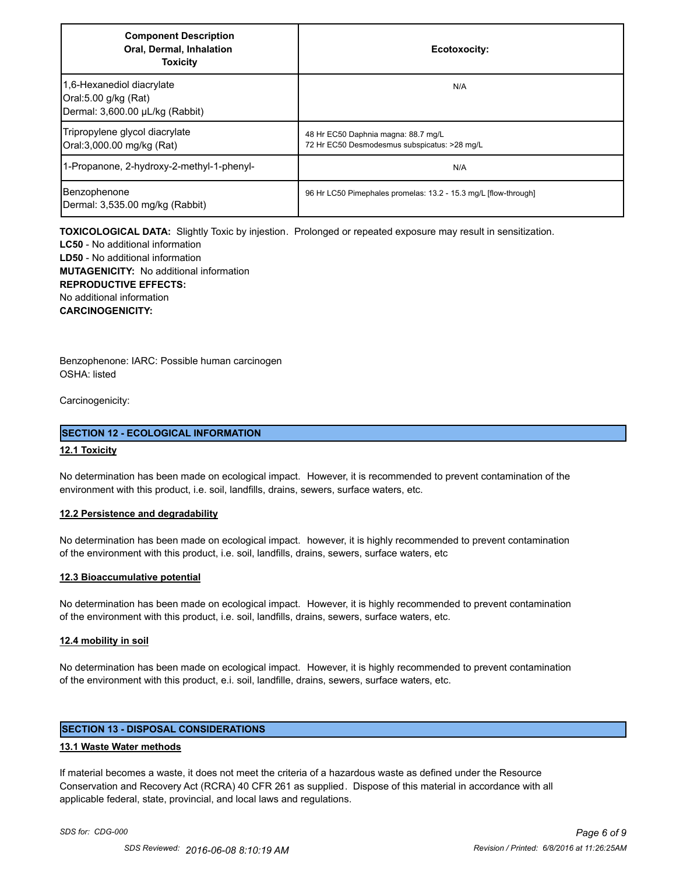| <b>Component Description</b><br>Oral, Dermal, Inhalation<br><b>Toxicity</b>          | Ecotoxocity:                                                                        |
|--------------------------------------------------------------------------------------|-------------------------------------------------------------------------------------|
| 1,6-Hexanediol diacrylate<br>Oral:5.00 g/kg (Rat)<br>Dermal: 3,600.00 µL/kg (Rabbit) | N/A                                                                                 |
| Tripropylene glycol diacrylate<br>Oral:3,000.00 mg/kg (Rat)                          | 48 Hr EC50 Daphnia magna: 88.7 mg/L<br>72 Hr EC50 Desmodesmus subspicatus: >28 mg/L |
| 1-Propanone, 2-hydroxy-2-methyl-1-phenyl-                                            | N/A                                                                                 |
| Benzophenone<br>Dermal: 3,535.00 mg/kg (Rabbit)                                      | 96 Hr LC50 Pimephales promelas: 13.2 - 15.3 mg/L [flow-through]                     |

**TOXICOLOGICAL DATA:** Slightly Toxic by injestion. Prolonged or repeated exposure may result in sensitization.

**LC50** - No additional information **LD50** - No additional information **MUTAGENICITY:** No additional information **REPRODUCTIVE EFFECTS:** No additional information **CARCINOGENICITY:**

Benzophenone: IARC: Possible human carcinogen OSHA: listed

Carcinogenicity:

### **SECTION 12 - ECOLOGICAL INFORMATION**

### **12.1 Toxicity**

No determination has been made on ecological impact. However, it is recommended to prevent contamination of the environment with this product, i.e. soil, landfills, drains, sewers, surface waters, etc.

### **12.2 Persistence and degradability**

No determination has been made on ecological impact. however, it is highly recommended to prevent contamination of the environment with this product, i.e. soil, landfills, drains, sewers, surface waters, etc

#### **12.3 Bioaccumulative potential**

No determination has been made on ecological impact. However, it is highly recommended to prevent contamination of the environment with this product, i.e. soil, landfills, drains, sewers, surface waters, etc.

#### **12.4 mobility in soil**

No determination has been made on ecological impact. However, it is highly recommended to prevent contamination of the environment with this product, e.i. soil, landfille, drains, sewers, surface waters, etc.

### **SECTION 13 - DISPOSAL CONSIDERATIONS**

#### **13.1 Waste Water methods**

If material becomes a waste, it does not meet the criteria of a hazardous waste as defined under the Resource Conservation and Recovery Act (RCRA) 40 CFR 261 as supplied. Dispose of this material in accordance with all applicable federal, state, provincial, and local laws and regulations.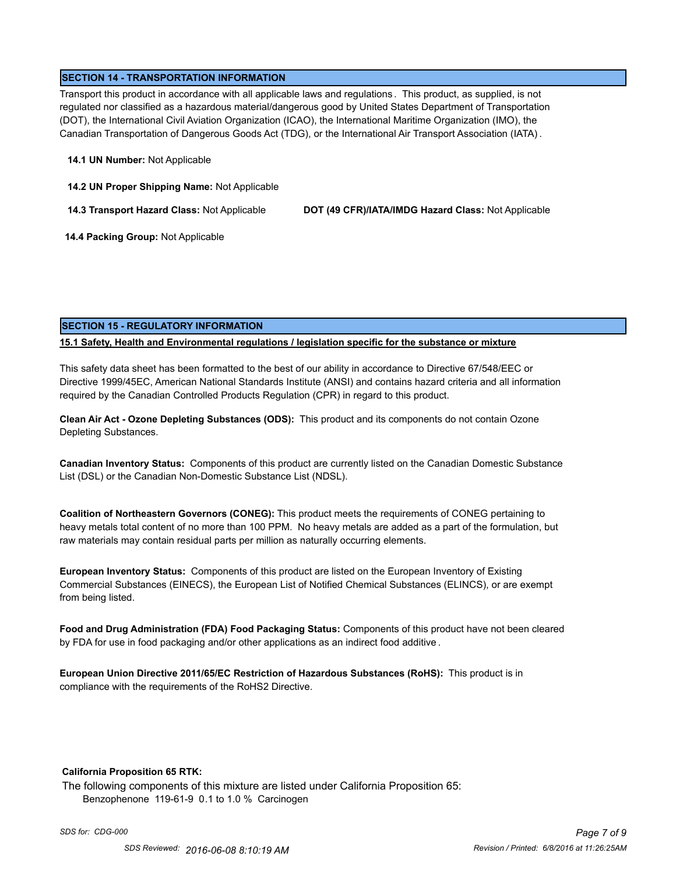### **SECTION 14 - TRANSPORTATION INFORMATION**

Transport this product in accordance with all applicable laws and regulations . This product, as supplied, is not regulated nor classified as a hazardous material/dangerous good by United States Department of Transportation (DOT), the International Civil Aviation Organization (ICAO), the International Maritime Organization (IMO), the Canadian Transportation of Dangerous Goods Act (TDG), or the International Air Transport Association (IATA) .

#### **14.1 UN Number:** Not Applicable

**14.2 UN Proper Shipping Name:** Not Applicable

**14.3 Transport Hazard Class:** Not Applicable **DOT (49 CFR)/IATA/IMDG Hazard Class:** Not Applicable

 **14.4 Packing Group:** Not Applicable

### **SECTION 15 - REGULATORY INFORMATION**

### **15.1 Safety, Health and Environmental regulations / legislation specific for the substance or mixture**

This safety data sheet has been formatted to the best of our ability in accordance to Directive 67/548/EEC or Directive 1999/45EC, American National Standards Institute (ANSI) and contains hazard criteria and all information required by the Canadian Controlled Products Regulation (CPR) in regard to this product.

**Clean Air Act - Ozone Depleting Substances (ODS):** This product and its components do not contain Ozone Depleting Substances.

**Canadian Inventory Status:** Components of this product are currently listed on the Canadian Domestic Substance List (DSL) or the Canadian Non-Domestic Substance List (NDSL).

**Coalition of Northeastern Governors (CONEG):** This product meets the requirements of CONEG pertaining to heavy metals total content of no more than 100 PPM. No heavy metals are added as a part of the formulation, but raw materials may contain residual parts per million as naturally occurring elements.

**European Inventory Status:** Components of this product are listed on the European Inventory of Existing Commercial Substances (EINECS), the European List of Notified Chemical Substances (ELINCS), or are exempt from being listed.

**Food and Drug Administration (FDA) Food Packaging Status:** Components of this product have not been cleared by FDA for use in food packaging and/or other applications as an indirect food additive .

**European Union Directive 2011/65/EC Restriction of Hazardous Substances (RoHS):** This product is in compliance with the requirements of the RoHS2 Directive.

#### **California Proposition 65 RTK:**

The following components of this mixture are listed under California Proposition 65: Benzophenone 119-61-9 0.1 to 1.0 % Carcinogen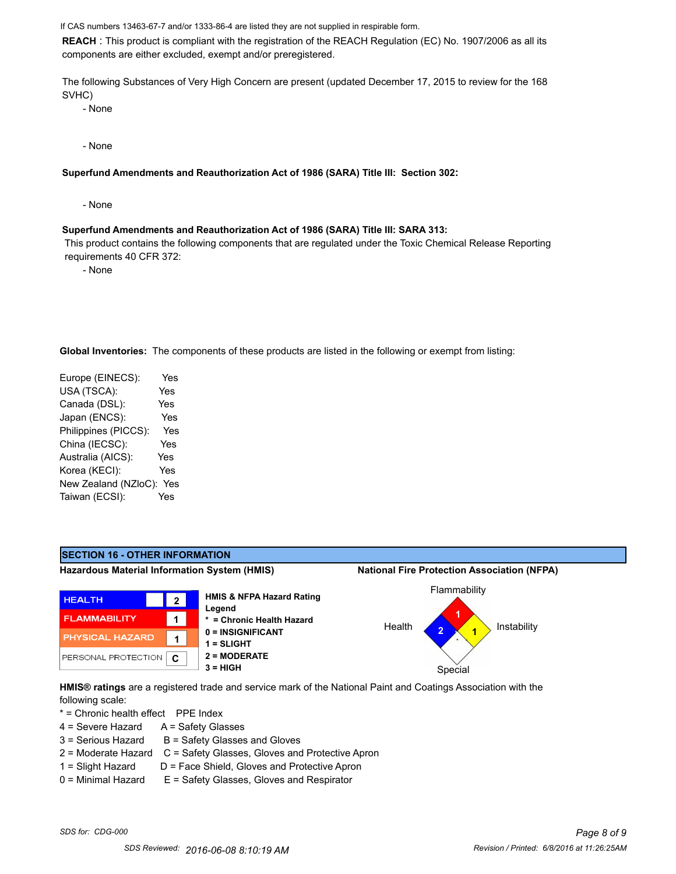If CAS numbers 13463-67-7 and/or 1333-86-4 are listed they are not supplied in respirable form.

**REACH** : This product is compliant with the registration of the REACH Regulation (EC) No. 1907/2006 as all its components are either excluded, exempt and/or preregistered.

The following Substances of Very High Concern are present (updated December 17, 2015 to review for the 168 SVHC)

- None

- None

**Superfund Amendments and Reauthorization Act of 1986 (SARA) Title III: Section 302:**

- None

#### **Superfund Amendments and Reauthorization Act of 1986 (SARA) Title III: SARA 313:**

 This product contains the following components that are regulated under the Toxic Chemical Release Reporting requirements 40 CFR 372:

- None

**Global Inventories:** The components of these products are listed in the following or exempt from listing:

Europe (EINECS): Yes USA (TSCA): Yes Canada (DSL): Yes Japan (ENCS): Yes Philippines (PICCS): Yes China (IECSC): Yes Australia (AICS): Yes Korea (KECI): Yes New Zealand (NZloC): Yes Taiwan (ECSI): Yes



**HMIS® ratings** are a registered trade and service mark of the National Paint and Coatings Association with the following scale:

\* = Chronic health effect PPE Index

- $4 =$  Severe Hazard  $A =$  Safety Glasses
- $3 =$  Serious Hazard  $B =$  Safety Glasses and Gloves
- 2 = Moderate Hazard C = Safety Glasses, Gloves and Protective Apron
- 
- 1 = Slight Hazard D = Face Shield, Gloves and Protective Apron
- 0 = Minimal Hazard E = Safety Glasses, Gloves and Respirator